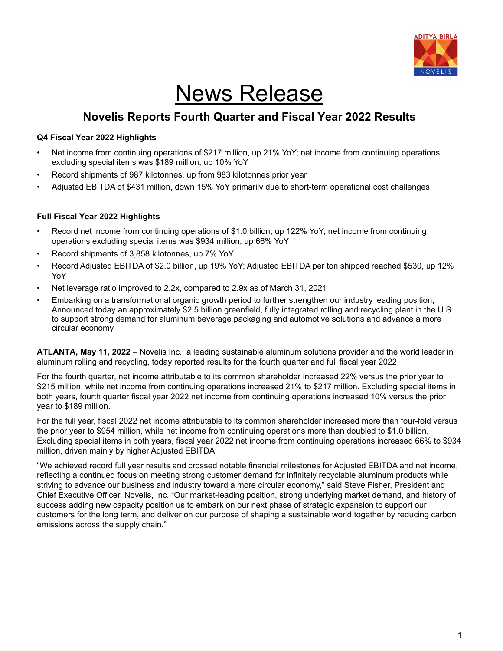

# News Release

# **Novelis Reports Fourth Quarter and Fiscal Year 2022 Results**

#### **Q4 Fiscal Year 2022 Highlights**

- Net income from continuing operations of \$217 million, up 21% YoY; net income from continuing operations excluding special items was \$189 million, up 10% YoY
- Record shipments of 987 kilotonnes, up from 983 kilotonnes prior year
- Adjusted EBITDA of \$431 million, down 15% YoY primarily due to short-term operational cost challenges

#### **Full Fiscal Year 2022 Highlights**

- Record net income from continuing operations of \$1.0 billion, up 122% YoY; net income from continuing operations excluding special items was \$934 million, up 66% YoY
- Record shipments of 3,858 kilotonnes, up 7% YoY
- Record Adjusted EBITDA of \$2.0 billion, up 19% YoY; Adjusted EBITDA per ton shipped reached \$530, up 12% YoY
- Net leverage ratio improved to 2.2x, compared to 2.9x as of March 31, 2021
- Embarking on a transformational organic growth period to further strengthen our industry leading position; Announced today an approximately \$2.5 billion greenfield, fully integrated rolling and recycling plant in the U.S. to support strong demand for aluminum beverage packaging and automotive solutions and advance a more circular economy

**ATLANTA, May 11, 2022** – Novelis Inc., a leading sustainable aluminum solutions provider and the world leader in aluminum rolling and recycling, today reported results for the fourth quarter and full fiscal year 2022.

For the fourth quarter, net income attributable to its common shareholder increased 22% versus the prior year to \$215 million, while net income from continuing operations increased 21% to \$217 million. Excluding special items in both years, fourth quarter fiscal year 2022 net income from continuing operations increased 10% versus the prior year to \$189 million.

For the full year, fiscal 2022 net income attributable to its common shareholder increased more than four-fold versus the prior year to \$954 million, while net income from continuing operations more than doubled to \$1.0 billion. Excluding special items in both years, fiscal year 2022 net income from continuing operations increased 66% to \$934 million, driven mainly by higher Adjusted EBITDA.

"We achieved record full year results and crossed notable financial milestones for Adjusted EBITDA and net income, reflecting a continued focus on meeting strong customer demand for infinitely recyclable aluminum products while striving to advance our business and industry toward a more circular economy," said Steve Fisher, President and Chief Executive Officer, Novelis, Inc. "Our market-leading position, strong underlying market demand, and history of success adding new capacity position us to embark on our next phase of strategic expansion to support our customers for the long term, and deliver on our purpose of shaping a sustainable world together by reducing carbon emissions across the supply chain."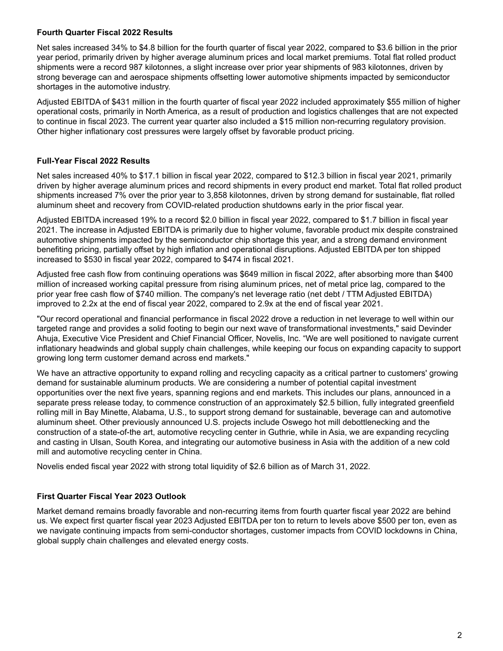#### **Fourth Quarter Fiscal 2022 Results**

Net sales increased 34% to \$4.8 billion for the fourth quarter of fiscal year 2022, compared to \$3.6 billion in the prior year period, primarily driven by higher average aluminum prices and local market premiums. Total flat rolled product shipments were a record 987 kilotonnes, a slight increase over prior year shipments of 983 kilotonnes, driven by strong beverage can and aerospace shipments offsetting lower automotive shipments impacted by semiconductor shortages in the automotive industry.

Adjusted EBITDA of \$431 million in the fourth quarter of fiscal year 2022 included approximately \$55 million of higher operational costs, primarily in North America, as a result of production and logistics challenges that are not expected to continue in fiscal 2023. The current year quarter also included a \$15 million non-recurring regulatory provision. Other higher inflationary cost pressures were largely offset by favorable product pricing.

#### **Full-Year Fiscal 2022 Results**

Net sales increased 40% to \$17.1 billion in fiscal year 2022, compared to \$12.3 billion in fiscal year 2021, primarily driven by higher average aluminum prices and record shipments in every product end market. Total flat rolled product shipments increased 7% over the prior year to 3,858 kilotonnes, driven by strong demand for sustainable, flat rolled aluminum sheet and recovery from COVID-related production shutdowns early in the prior fiscal year.

Adjusted EBITDA increased 19% to a record \$2.0 billion in fiscal year 2022, compared to \$1.7 billion in fiscal year 2021. The increase in Adjusted EBITDA is primarily due to higher volume, favorable product mix despite constrained automotive shipments impacted by the semiconductor chip shortage this year, and a strong demand environment benefiting pricing, partially offset by high inflation and operational disruptions. Adjusted EBITDA per ton shipped increased to \$530 in fiscal year 2022, compared to \$474 in fiscal 2021.

Adjusted free cash flow from continuing operations was \$649 million in fiscal 2022, after absorbing more than \$400 million of increased working capital pressure from rising aluminum prices, net of metal price lag, compared to the prior year free cash flow of \$740 million. The company's net leverage ratio (net debt / TTM Adjusted EBITDA) improved to 2.2x at the end of fiscal year 2022, compared to 2.9x at the end of fiscal year 2021.

"Our record operational and financial performance in fiscal 2022 drove a reduction in net leverage to well within our targeted range and provides a solid footing to begin our next wave of transformational investments," said Devinder Ahuja, Executive Vice President and Chief Financial Officer, Novelis, Inc. "We are well positioned to navigate current inflationary headwinds and global supply chain challenges, while keeping our focus on expanding capacity to support growing long term customer demand across end markets."

We have an attractive opportunity to expand rolling and recycling capacity as a critical partner to customers' growing demand for sustainable aluminum products. We are considering a number of potential capital investment opportunities over the next five years, spanning regions and end markets. This includes our plans, announced in a separate press release today, to commence construction of an approximately \$2.5 billion, fully integrated greenfield rolling mill in Bay Minette, Alabama, U.S., to support strong demand for sustainable, beverage can and automotive aluminum sheet. Other previously announced U.S. projects include Oswego hot mill debottlenecking and the construction of a state-of-the art, automotive recycling center in Guthrie, while in Asia, we are expanding recycling and casting in Ulsan, South Korea, and integrating our automotive business in Asia with the addition of a new cold mill and automotive recycling center in China.

Novelis ended fiscal year 2022 with strong total liquidity of \$2.6 billion as of March 31, 2022.

#### **First Quarter Fiscal Year 2023 Outlook**

Market demand remains broadly favorable and non-recurring items from fourth quarter fiscal year 2022 are behind us. We expect first quarter fiscal year 2023 Adjusted EBITDA per ton to return to levels above \$500 per ton, even as we navigate continuing impacts from semi-conductor shortages, customer impacts from COVID lockdowns in China, global supply chain challenges and elevated energy costs.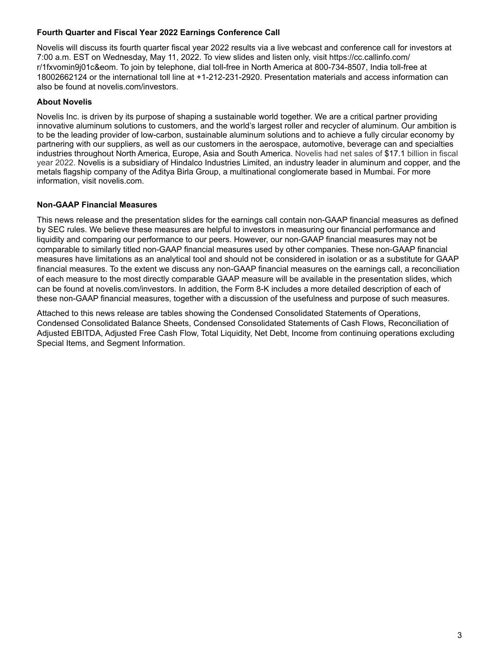#### **Fourth Quarter and Fiscal Year 2022 Earnings Conference Call**

Novelis will discuss its fourth quarter fiscal year 2022 results via a live webcast and conference call for investors at 7:00 a.m. EST on Wednesday, May 11, 2022. To view slides and listen only, visit https://cc.callinfo.com/ r/1fxvomin9j01c&eom. To join by telephone, dial toll-free in North America at 800-734-8507, India toll-free at 18002662124 or the international toll line at +1-212-231-2920. Presentation materials and access information can also be found at novelis.com/investors.

#### **About Novelis**

Novelis Inc. is driven by its purpose of shaping a sustainable world together. We are a critical partner providing innovative aluminum solutions to customers, and the world's largest roller and recycler of aluminum. Our ambition is to be the leading provider of low-carbon, sustainable aluminum solutions and to achieve a fully circular economy by partnering with our suppliers, as well as our customers in the aerospace, automotive, beverage can and specialties industries throughout North America, Europe, Asia and South America. Novelis had net sales of \$17.1 billion in fiscal year 2022. Novelis is a subsidiary of Hindalco Industries Limited, an industry leader in aluminum and copper, and the metals flagship company of the Aditya Birla Group, a multinational conglomerate based in Mumbai. For more information, visit novelis.com.

#### **Non-GAAP Financial Measures**

This news release and the presentation slides for the earnings call contain non-GAAP financial measures as defined by SEC rules. We believe these measures are helpful to investors in measuring our financial performance and liquidity and comparing our performance to our peers. However, our non-GAAP financial measures may not be comparable to similarly titled non-GAAP financial measures used by other companies. These non-GAAP financial measures have limitations as an analytical tool and should not be considered in isolation or as a substitute for GAAP financial measures. To the extent we discuss any non-GAAP financial measures on the earnings call, a reconciliation of each measure to the most directly comparable GAAP measure will be available in the presentation slides, which can be found at novelis.com/investors. In addition, the Form 8-K includes a more detailed description of each of these non-GAAP financial measures, together with a discussion of the usefulness and purpose of such measures.

Attached to this news release are tables showing the Condensed Consolidated Statements of Operations, Condensed Consolidated Balance Sheets, Condensed Consolidated Statements of Cash Flows, Reconciliation of Adjusted EBITDA, Adjusted Free Cash Flow, Total Liquidity, Net Debt, Income from continuing operations excluding Special Items, and Segment Information.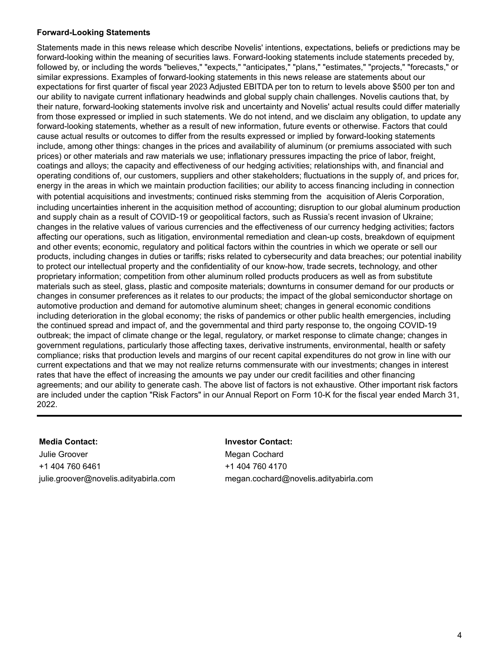#### **Forward-Looking Statements**

Statements made in this news release which describe Novelis' intentions, expectations, beliefs or predictions may be forward-looking within the meaning of securities laws. Forward-looking statements include statements preceded by, followed by, or including the words "believes," "expects," "anticipates," "plans," "estimates," "projects," "forecasts," or similar expressions. Examples of forward-looking statements in this news release are statements about our expectations for first quarter of fiscal year 2023 Adjusted EBITDA per ton to return to levels above \$500 per ton and our ability to navigate current inflationary headwinds and global supply chain challenges. Novelis cautions that, by their nature, forward-looking statements involve risk and uncertainty and Novelis' actual results could differ materially from those expressed or implied in such statements. We do not intend, and we disclaim any obligation, to update any forward-looking statements, whether as a result of new information, future events or otherwise. Factors that could cause actual results or outcomes to differ from the results expressed or implied by forward-looking statements include, among other things: changes in the prices and availability of aluminum (or premiums associated with such prices) or other materials and raw materials we use; inflationary pressures impacting the price of labor, freight, coatings and alloys; the capacity and effectiveness of our hedging activities; relationships with, and financial and operating conditions of, our customers, suppliers and other stakeholders; fluctuations in the supply of, and prices for, energy in the areas in which we maintain production facilities; our ability to access financing including in connection with potential acquisitions and investments; continued risks stemming from the acquisition of Aleris Corporation, including uncertainties inherent in the acquisition method of accounting; disruption to our global aluminum production and supply chain as a result of COVID-19 or geopolitical factors, such as Russia's recent invasion of Ukraine; changes in the relative values of various currencies and the effectiveness of our currency hedging activities; factors affecting our operations, such as litigation, environmental remediation and clean-up costs, breakdown of equipment and other events; economic, regulatory and political factors within the countries in which we operate or sell our products, including changes in duties or tariffs; risks related to cybersecurity and data breaches; our potential inability to protect our intellectual property and the confidentiality of our know-how, trade secrets, technology, and other proprietary information; competition from other aluminum rolled products producers as well as from substitute materials such as steel, glass, plastic and composite materials; downturns in consumer demand for our products or changes in consumer preferences as it relates to our products; the impact of the global semiconductor shortage on automotive production and demand for automotive aluminum sheet; changes in general economic conditions including deterioration in the global economy; the risks of pandemics or other public health emergencies, including the continued spread and impact of, and the governmental and third party response to, the ongoing COVID-19 outbreak; the impact of climate change or the legal, regulatory, or market response to climate change; changes in government regulations, particularly those affecting taxes, derivative instruments, environmental, health or safety compliance; risks that production levels and margins of our recent capital expenditures do not grow in line with our current expectations and that we may not realize returns commensurate with our investments; changes in interest rates that have the effect of increasing the amounts we pay under our credit facilities and other financing agreements; and our ability to generate cash. The above list of factors is not exhaustive. Other important risk factors are included under the caption "Risk Factors" in our Annual Report on Form 10-K for the fiscal year ended March 31, 2022.

Julie Groover **Megan Cochard** Megan Cochard +1 404 760 6461 +1 404 760 4170

#### **Media Contact: Investor Contact:**

julie.groover@novelis.adityabirla.com megan.cochard@novelis.adityabirla.com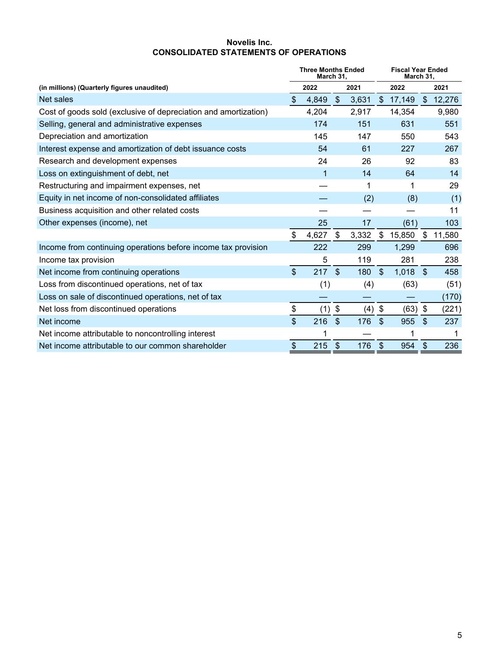# **Novelis Inc. CONSOLIDATED STATEMENTS OF OPERATIONS**

|                                                                 |                | <b>Three Months Ended</b><br>March 31. |                         |       | <b>Fiscal Year Ended</b><br>March 31. |        |                           |        |
|-----------------------------------------------------------------|----------------|----------------------------------------|-------------------------|-------|---------------------------------------|--------|---------------------------|--------|
| (in millions) (Quarterly figures unaudited)                     |                | 2022                                   | 2021                    |       |                                       | 2022   |                           | 2021   |
| Net sales                                                       | \$             | 4,849                                  | $\sqrt[6]{\frac{1}{2}}$ | 3,631 | \$                                    | 17,149 | $\mathbb{S}$              | 12,276 |
| Cost of goods sold (exclusive of depreciation and amortization) |                | 4,204                                  |                         | 2,917 |                                       | 14,354 |                           | 9,980  |
| Selling, general and administrative expenses                    |                | 174                                    |                         | 151   |                                       | 631    |                           | 551    |
| Depreciation and amortization                                   |                | 145                                    |                         | 147   |                                       | 550    |                           | 543    |
| Interest expense and amortization of debt issuance costs        |                | 54                                     |                         | 61    |                                       | 227    |                           | 267    |
| Research and development expenses                               |                | 24                                     |                         | 26    |                                       | 92     |                           | 83     |
| Loss on extinguishment of debt, net                             |                | 1                                      |                         | 14    |                                       | 64     |                           | 14     |
| Restructuring and impairment expenses, net                      |                |                                        |                         | 1     |                                       | 1      |                           | 29     |
| Equity in net income of non-consolidated affiliates             |                |                                        |                         | (2)   |                                       | (8)    |                           | (1)    |
| Business acquisition and other related costs                    |                |                                        |                         |       |                                       |        |                           | 11     |
| Other expenses (income), net                                    |                | 25                                     |                         | 17    |                                       | (61)   |                           | 103    |
|                                                                 | \$             | 4,627                                  | $\mathfrak{S}$          | 3,332 | \$                                    | 15,850 | \$                        | 11,580 |
| Income from continuing operations before income tax provision   |                | 222                                    |                         | 299   |                                       | 1,299  |                           | 696    |
| Income tax provision                                            |                | 5                                      |                         | 119   |                                       | 281    |                           | 238    |
| Net income from continuing operations                           | $\mathfrak{S}$ | 217                                    | $\mathfrak{S}$          | 180   | $\mathfrak{L}$                        | 1,018  | $\mathfrak{S}$            | 458    |
| Loss from discontinued operations, net of tax                   |                | (1)                                    |                         | (4)   |                                       | (63)   |                           | (51)   |
| Loss on sale of discontinued operations, net of tax             |                |                                        |                         |       |                                       |        |                           | (170)  |
| Net loss from discontinued operations                           | \$             | (1)                                    | \$                      | (4)   | \$                                    | (63)   | \$                        | (221)  |
| Net income                                                      | \$             | 216                                    | \$                      | 176   | \$                                    | 955    | $\boldsymbol{\mathsf{S}}$ | 237    |
| Net income attributable to noncontrolling interest              |                |                                        |                         |       |                                       |        |                           | 1      |
| Net income attributable to our common shareholder               | \$             | 215                                    | $\frac{1}{2}$           | 176   | $\$\$                                 | 954    | \$                        | 236    |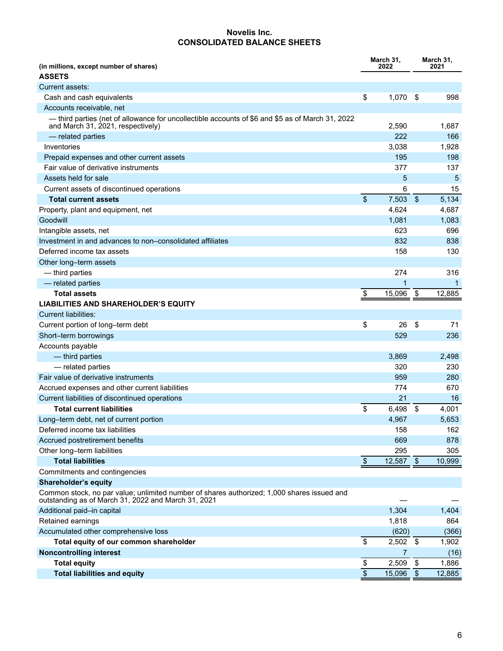### **Novelis Inc. CONSOLIDATED BALANCE SHEETS**

| (in millions, except number of shares)<br><b>ASSETS</b>                                                                                           |                           | March 31,<br>2022 | March 31,<br>2021         |        |  |
|---------------------------------------------------------------------------------------------------------------------------------------------------|---------------------------|-------------------|---------------------------|--------|--|
|                                                                                                                                                   |                           |                   |                           |        |  |
| Current assets:                                                                                                                                   |                           |                   |                           | 998    |  |
| Cash and cash equivalents                                                                                                                         | \$                        | 1,070             | -\$                       |        |  |
| Accounts receivable, net                                                                                                                          |                           |                   |                           |        |  |
| - third parties (net of allowance for uncollectible accounts of \$6 and \$5 as of March 31, 2022<br>and March 31, 2021, respectively)             |                           | 2,590             |                           | 1,687  |  |
| - related parties                                                                                                                                 |                           | 222               |                           | 166    |  |
| Inventories                                                                                                                                       |                           | 3,038             |                           | 1,928  |  |
| Prepaid expenses and other current assets                                                                                                         |                           | 195               |                           | 198    |  |
| Fair value of derivative instruments                                                                                                              |                           | 377               |                           | 137    |  |
| Assets held for sale                                                                                                                              |                           | 5                 |                           | 5      |  |
| Current assets of discontinued operations                                                                                                         |                           | 6                 |                           | 15     |  |
| <b>Total current assets</b>                                                                                                                       | $\mathfrak{S}$            | 7,503             | $\mathfrak{F}$            | 5,134  |  |
| Property, plant and equipment, net                                                                                                                |                           | 4,624             |                           | 4,687  |  |
| Goodwill                                                                                                                                          |                           | 1,081             |                           | 1,083  |  |
| Intangible assets, net                                                                                                                            |                           | 623               |                           | 696    |  |
| Investment in and advances to non-consolidated affiliates                                                                                         |                           | 832               |                           | 838    |  |
| Deferred income tax assets                                                                                                                        |                           | 158               |                           | 130    |  |
| Other long-term assets                                                                                                                            |                           |                   |                           |        |  |
| — third parties                                                                                                                                   |                           | 274               |                           | 316    |  |
| - related parties                                                                                                                                 |                           | 1                 |                           | 1      |  |
| <b>Total assets</b>                                                                                                                               | \$                        | 15,096            | \$                        | 12,885 |  |
| <b>LIABILITIES AND SHAREHOLDER'S EQUITY</b>                                                                                                       |                           |                   |                           |        |  |
| <b>Current liabilities:</b>                                                                                                                       |                           |                   |                           |        |  |
| Current portion of long-term debt                                                                                                                 | \$                        | 26                | \$                        | 71     |  |
| Short-term borrowings                                                                                                                             |                           | 529               |                           | 236    |  |
| Accounts payable                                                                                                                                  |                           |                   |                           |        |  |
| - third parties                                                                                                                                   |                           | 3,869             |                           | 2,498  |  |
| - related parties                                                                                                                                 |                           | 320               |                           | 230    |  |
| Fair value of derivative instruments                                                                                                              |                           | 959               |                           | 280    |  |
| Accrued expenses and other current liabilities                                                                                                    |                           | 774               |                           | 670    |  |
| Current liabilities of discontinued operations                                                                                                    |                           | 21                |                           | 16     |  |
| Total current liabilities                                                                                                                         | \$                        | 6,498             | \$                        | 4,001  |  |
| Long-term debt, net of current portion                                                                                                            |                           | 4,967             |                           | 5,653  |  |
| Deferred income tax liabilities                                                                                                                   |                           | 158               |                           | 162    |  |
| Accrued postretirement benefits                                                                                                                   |                           | 669               |                           | 878    |  |
| Other long-term liabilities                                                                                                                       |                           | 295               |                           | 305    |  |
| <b>Total liabilities</b>                                                                                                                          | $\boldsymbol{\mathsf{S}}$ | 12,587            | $\sqrt[6]{3}$             | 10,999 |  |
| Commitments and contingencies                                                                                                                     |                           |                   |                           |        |  |
| <b>Shareholder's equity</b>                                                                                                                       |                           |                   |                           |        |  |
| Common stock, no par value; unlimited number of shares authorized; 1,000 shares issued and<br>outstanding as of March 31, 2022 and March 31, 2021 |                           |                   |                           |        |  |
| Additional paid-in capital                                                                                                                        |                           | 1,304             |                           | 1,404  |  |
| Retained earnings                                                                                                                                 |                           | 1,818             |                           | 864    |  |
| Accumulated other comprehensive loss                                                                                                              |                           | (620)             |                           | (366)  |  |
| Total equity of our common shareholder                                                                                                            | \$                        | $2,502$ \$        |                           | 1,902  |  |
| <b>Noncontrolling interest</b>                                                                                                                    |                           | 7                 |                           | (16)   |  |
| <b>Total equity</b>                                                                                                                               | \$                        | 2,509             | $\boldsymbol{\mathsf{S}}$ | 1,886  |  |
| <b>Total liabilities and equity</b>                                                                                                               | \$                        | 15,096            | $\sqrt[6]{3}$             | 12,885 |  |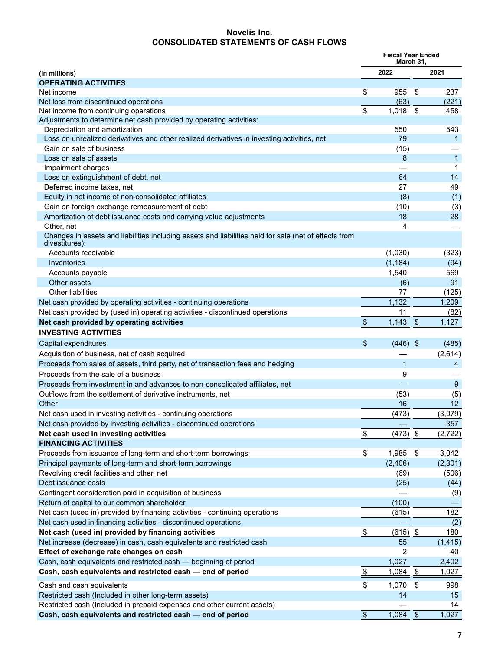### **Novelis Inc. CONSOLIDATED STATEMENTS OF CASH FLOWS**

|                                                                                                                         |                                           | <b>Fiscal Year Ended</b><br>March 31, |                          |                   |
|-------------------------------------------------------------------------------------------------------------------------|-------------------------------------------|---------------------------------------|--------------------------|-------------------|
| (in millions)                                                                                                           |                                           | 2022                                  |                          | 2021              |
| <b>OPERATING ACTIVITIES</b>                                                                                             |                                           |                                       |                          |                   |
| Net income                                                                                                              | \$                                        | 955                                   | \$                       | 237               |
| Net loss from discontinued operations                                                                                   |                                           | (63)                                  |                          | (221)             |
| Net income from continuing operations                                                                                   | \$                                        | 1,018                                 | $\overline{\mathcal{S}}$ | 458               |
| Adjustments to determine net cash provided by operating activities:                                                     |                                           |                                       |                          |                   |
| Depreciation and amortization                                                                                           |                                           | 550                                   |                          | 543               |
| Loss on unrealized derivatives and other realized derivatives in investing activities, net                              |                                           | 79                                    |                          | $\mathbf 1$       |
| Gain on sale of business<br>Loss on sale of assets                                                                      |                                           | (15)                                  |                          |                   |
| Impairment charges                                                                                                      |                                           | 8                                     |                          | $\mathbf{1}$<br>1 |
| Loss on extinguishment of debt, net                                                                                     |                                           | 64                                    |                          | 14                |
| Deferred income taxes, net                                                                                              |                                           | 27                                    |                          | 49                |
| Equity in net income of non-consolidated affiliates                                                                     |                                           | (8)                                   |                          | (1)               |
| Gain on foreign exchange remeasurement of debt                                                                          |                                           | (10)                                  |                          | (3)               |
| Amortization of debt issuance costs and carrying value adjustments                                                      |                                           | 18                                    |                          | 28                |
| Other, net                                                                                                              |                                           | 4                                     |                          |                   |
| Changes in assets and liabilities including assets and liabilities held for sale (net of effects from<br>divestitures): |                                           |                                       |                          |                   |
| Accounts receivable                                                                                                     |                                           | (1,030)                               |                          | (323)             |
| Inventories                                                                                                             |                                           | (1, 184)                              |                          | (94)              |
| Accounts payable                                                                                                        |                                           | 1,540                                 |                          | 569               |
| Other assets                                                                                                            |                                           | (6)                                   |                          | 91                |
| Other liabilities                                                                                                       |                                           | 77                                    |                          | (125)             |
| Net cash provided by operating activities - continuing operations                                                       |                                           | 1,132                                 |                          | 1,209             |
| Net cash provided by (used in) operating activities - discontinued operations                                           |                                           | 11                                    |                          | (82)              |
| Net cash provided by operating activities                                                                               | $\sqrt[6]{\frac{1}{2}}$                   | 1,143                                 | $\sqrt{2}$               | 1,127             |
| <b>INVESTING ACTIVITIES</b>                                                                                             |                                           |                                       |                          |                   |
| Capital expenditures                                                                                                    | \$                                        | $(446)$ \$                            |                          | (485)             |
| Acquisition of business, net of cash acquired                                                                           |                                           |                                       |                          | (2,614)           |
| Proceeds from sales of assets, third party, net of transaction fees and hedging                                         |                                           | $\mathbf 1$                           |                          | $\overline{4}$    |
| Proceeds from the sale of a business                                                                                    |                                           | 9                                     |                          |                   |
| Proceeds from investment in and advances to non-consolidated affiliates, net                                            |                                           |                                       |                          | 9                 |
| Outflows from the settlement of derivative instruments, net                                                             |                                           | (53)                                  |                          | (5)               |
| Other                                                                                                                   |                                           | 16                                    |                          | 12                |
| Net cash used in investing activities - continuing operations                                                           |                                           | (473)                                 |                          | (3,079)           |
| Net cash provided by investing activities - discontinued operations                                                     |                                           |                                       |                          | 357               |
| Net cash used in investing activities                                                                                   | $\,$                                      | $(473)$ \$                            |                          | (2, 722)          |
| <b>FINANCING ACTIVITIES</b>                                                                                             |                                           |                                       |                          |                   |
| Proceeds from issuance of long-term and short-term borrowings                                                           | \$                                        | 1,985                                 | \$                       | 3,042             |
| Principal payments of long-term and short-term borrowings                                                               |                                           | (2, 406)                              |                          | (2,301)           |
| Revolving credit facilities and other, net                                                                              |                                           | (69)                                  |                          | (506)             |
| Debt issuance costs                                                                                                     |                                           | (25)                                  |                          | (44)              |
| Contingent consideration paid in acquisition of business                                                                |                                           |                                       |                          | (9)               |
| Return of capital to our common shareholder                                                                             |                                           | (100)                                 |                          |                   |
| Net cash (used in) provided by financing activities - continuing operations                                             |                                           | (615)                                 |                          | 182               |
| Net cash used in financing activities - discontinued operations                                                         |                                           |                                       |                          | (2)               |
| Net cash (used in) provided by financing activities                                                                     | $\, \, \raisebox{12pt}{$\scriptstyle \$}$ | $(615)$ \$                            |                          | 180               |
| Net increase (decrease) in cash, cash equivalents and restricted cash                                                   |                                           | 55                                    |                          | (1, 415)          |
| Effect of exchange rate changes on cash                                                                                 |                                           | 2                                     |                          | 40                |
| Cash, cash equivalents and restricted cash - beginning of period                                                        |                                           | 1,027                                 |                          | 2,402             |
| Cash, cash equivalents and restricted cash - end of period                                                              | $\frac{1}{2}$                             | 1,084                                 | $\sqrt[6]{2}$            | 1,027             |
| Cash and cash equivalents                                                                                               | \$                                        | 1,070                                 | \$                       | 998               |
| Restricted cash (Included in other long-term assets)                                                                    |                                           | 14                                    |                          | 15                |
| Restricted cash (Included in prepaid expenses and other current assets)                                                 |                                           |                                       |                          | 14                |
| Cash, cash equivalents and restricted cash - end of period                                                              | $\overline{\mathcal{L}}$                  | 1,084                                 | $\overline{\mathcal{F}}$ | 1,027             |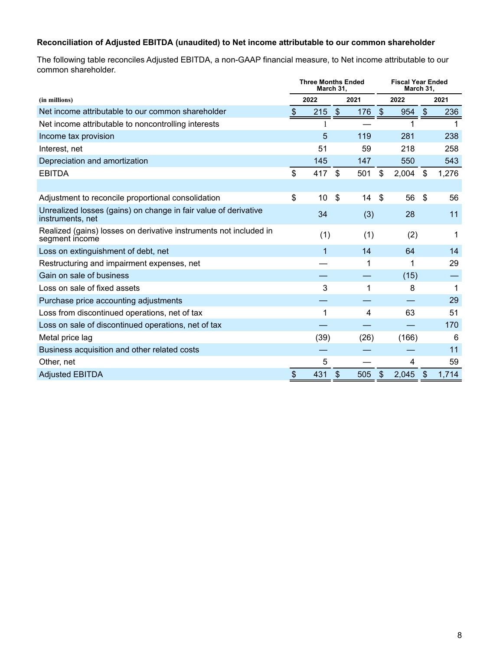# **Reconciliation of Adjusted EBITDA (unaudited) to Net income attributable to our common shareholder**

The following table reconciles Adjusted EBITDA, a non-GAAP financial measure, to Net income attributable to our common shareholder.

|                                                                                     |                       | <b>Three Months Ended</b><br>March 31. |                |      | <b>Fiscal Year Ended</b><br>March 31. |       |                           |       |
|-------------------------------------------------------------------------------------|-----------------------|----------------------------------------|----------------|------|---------------------------------------|-------|---------------------------|-------|
| (in millions)                                                                       |                       | 2022                                   |                | 2021 | 2022                                  |       |                           | 2021  |
| Net income attributable to our common shareholder                                   | \$                    | 215                                    | $\mathfrak{s}$ | 176  | $\mathcal{S}$                         | 954   | $\boldsymbol{\mathsf{S}}$ | 236   |
| Net income attributable to noncontrolling interests                                 |                       |                                        |                |      |                                       | 1     |                           |       |
| Income tax provision                                                                |                       | 5                                      |                | 119  |                                       | 281   |                           | 238   |
| Interest, net                                                                       |                       | 51                                     |                | 59   |                                       | 218   |                           | 258   |
| Depreciation and amortization                                                       |                       | 145                                    |                | 147  |                                       | 550   |                           | 543   |
| <b>EBITDA</b>                                                                       | \$                    | 417                                    | \$             | 501  | \$                                    | 2,004 | \$                        | 1,276 |
|                                                                                     |                       |                                        |                |      |                                       |       |                           |       |
| Adjustment to reconcile proportional consolidation                                  | \$                    | 10                                     | \$             | 14   | \$                                    | 56    | \$                        | 56    |
| Unrealized losses (gains) on change in fair value of derivative<br>instruments, net |                       | 34                                     |                | (3)  |                                       | 28    |                           | 11    |
| Realized (gains) losses on derivative instruments not included in<br>segment income |                       | (1)                                    |                | (1)  |                                       | (2)   |                           | 1     |
| Loss on extinguishment of debt, net                                                 |                       | 1                                      |                | 14   |                                       | 64    |                           | 14    |
| Restructuring and impairment expenses, net                                          |                       |                                        |                | 1    |                                       | 1     |                           | 29    |
| Gain on sale of business                                                            |                       |                                        |                |      |                                       | (15)  |                           |       |
| Loss on sale of fixed assets                                                        |                       | 3                                      |                | 1    |                                       | 8     |                           | 1     |
| Purchase price accounting adjustments                                               |                       |                                        |                |      |                                       |       |                           | 29    |
| Loss from discontinued operations, net of tax                                       |                       | 1                                      |                | 4    |                                       | 63    |                           | 51    |
| Loss on sale of discontinued operations, net of tax                                 |                       |                                        |                |      |                                       |       |                           | 170   |
| Metal price lag                                                                     |                       | (39)                                   |                | (26) |                                       | (166) |                           | 6     |
| Business acquisition and other related costs                                        |                       |                                        |                |      |                                       |       |                           | 11    |
| Other, net                                                                          |                       | 5                                      |                |      |                                       | 4     |                           | 59    |
| <b>Adjusted EBITDA</b>                                                              | $\boldsymbol{\theta}$ | 431                                    | \$             | 505  | $\boldsymbol{\mathsf{S}}$             | 2,045 | $\$\$                     | 1,714 |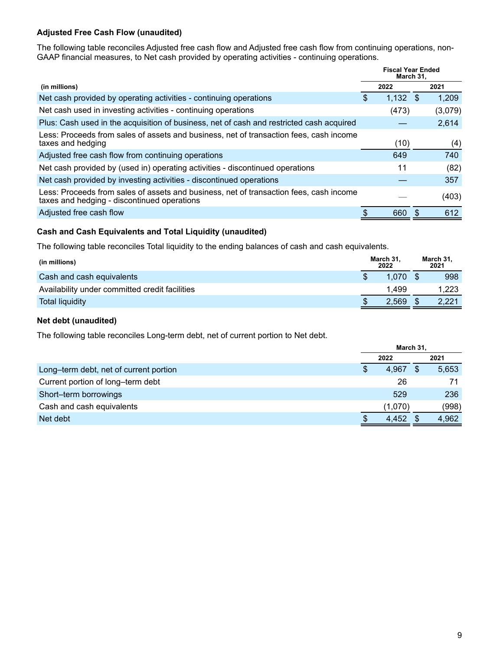#### **Adjusted Free Cash Flow (unaudited)**

The following table reconciles Adjusted free cash flow and Adjusted free cash flow from continuing operations, non-GAAP financial measures, to Net cash provided by operating activities - continuing operations.

|                                                                                                                                       | <b>Fiscal Year Ended</b><br>March 31, |      |         |
|---------------------------------------------------------------------------------------------------------------------------------------|---------------------------------------|------|---------|
| (in millions)                                                                                                                         | 2022                                  |      | 2021    |
| Net cash provided by operating activities - continuing operations                                                                     | \$<br>1,132                           | - \$ | 1,209   |
| Net cash used in investing activities - continuing operations                                                                         | (473)                                 |      | (3,079) |
| Plus: Cash used in the acquisition of business, net of cash and restricted cash acquired                                              |                                       |      | 2,614   |
| Less: Proceeds from sales of assets and business, net of transaction fees, cash income<br>taxes and hedging                           | (10)                                  |      | (4)     |
| Adjusted free cash flow from continuing operations                                                                                    | 649                                   |      | 740     |
| Net cash provided by (used in) operating activities - discontinued operations                                                         | 11                                    |      | (82)    |
| Net cash provided by investing activities - discontinued operations                                                                   |                                       |      | 357     |
| Less: Proceeds from sales of assets and business, net of transaction fees, cash income<br>taxes and hedging - discontinued operations |                                       |      | (403)   |
| Adjusted free cash flow                                                                                                               | 660                                   |      | 612     |

#### **Cash and Cash Equivalents and Total Liquidity (unaudited)**

The following table reconciles Total liquidity to the ending balances of cash and cash equivalents.

| (in millions)                                  | March 31.<br>2022 |       |  | March 31,<br>2021 |
|------------------------------------------------|-------------------|-------|--|-------------------|
| Cash and cash equivalents                      |                   | 1.070 |  | 998               |
| Availability under committed credit facilities |                   | 1.499 |  | 1.223             |
| Total liquidity                                |                   | 2.569 |  | 2.221             |

#### **Net debt (unaudited)**

The following table reconciles Long-term debt, net of current portion to Net debt.

|                                        | March 31, |       |
|----------------------------------------|-----------|-------|
|                                        | 2022      | 2021  |
| Long-term debt, net of current portion | 4,967     | 5,653 |
| Current portion of long-term debt      | 26        | 71    |
| Short-term borrowings                  | 529       | 236   |
| Cash and cash equivalents              | (1.070)   | (998) |
| Net debt                               | 4.452     | 4,962 |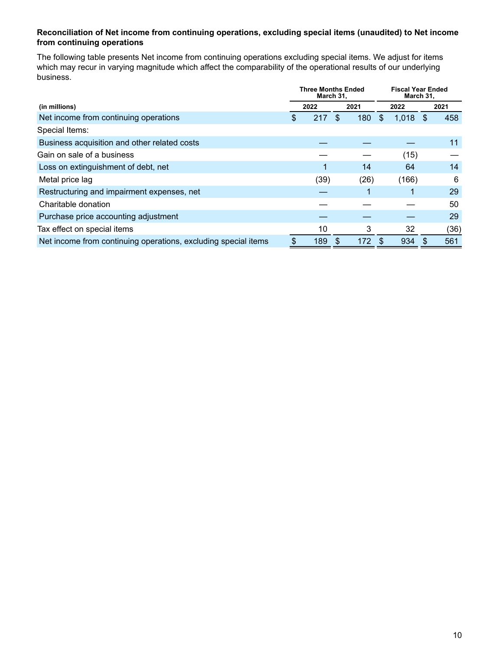# **Reconciliation of Net income from continuing operations, excluding special items (unaudited) to Net income from continuing operations**

The following table presents Net income from continuing operations excluding special items. We adjust for items which may recur in varying magnitude which affect the comparability of the operational results of our underlying business.

|                                                                | <b>Three Months Ended</b><br>March 31, |      |    |      |     | <b>Fiscal Year Ended</b><br>March 31, |     |      |  |
|----------------------------------------------------------------|----------------------------------------|------|----|------|-----|---------------------------------------|-----|------|--|
| (in millions)                                                  |                                        | 2022 |    | 2021 |     | 2022                                  |     | 2021 |  |
| Net income from continuing operations                          | S                                      | 217  | -S | 180  | \$  | 1,018                                 | \$. | 458  |  |
| Special Items:                                                 |                                        |      |    |      |     |                                       |     |      |  |
| Business acquisition and other related costs                   |                                        |      |    |      |     |                                       |     | 11   |  |
| Gain on sale of a business                                     |                                        |      |    |      |     | (15)                                  |     |      |  |
| Loss on extinguishment of debt, net                            |                                        |      |    | 14   |     | 64                                    |     | 14   |  |
| Metal price lag                                                |                                        | (39) |    | (26) |     | (166)                                 |     | 6    |  |
| Restructuring and impairment expenses, net                     |                                        |      |    |      |     |                                       |     | 29   |  |
| Charitable donation                                            |                                        |      |    |      |     |                                       |     | 50   |  |
| Purchase price accounting adjustment                           |                                        |      |    |      |     |                                       |     | 29   |  |
| Tax effect on special items                                    |                                        | 10   |    | 3    |     | 32                                    |     | (36) |  |
| Net income from continuing operations, excluding special items |                                        | 189  |    | 172  | \$. | 934                                   | \$. | 561  |  |